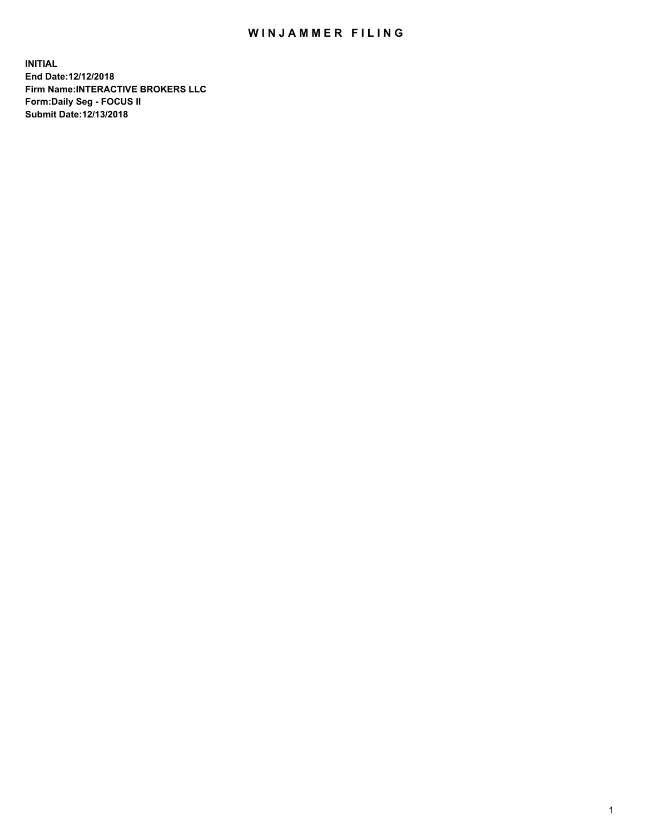## WIN JAMMER FILING

**INITIAL End Date:12/12/2018 Firm Name:INTERACTIVE BROKERS LLC Form:Daily Seg - FOCUS II Submit Date:12/13/2018**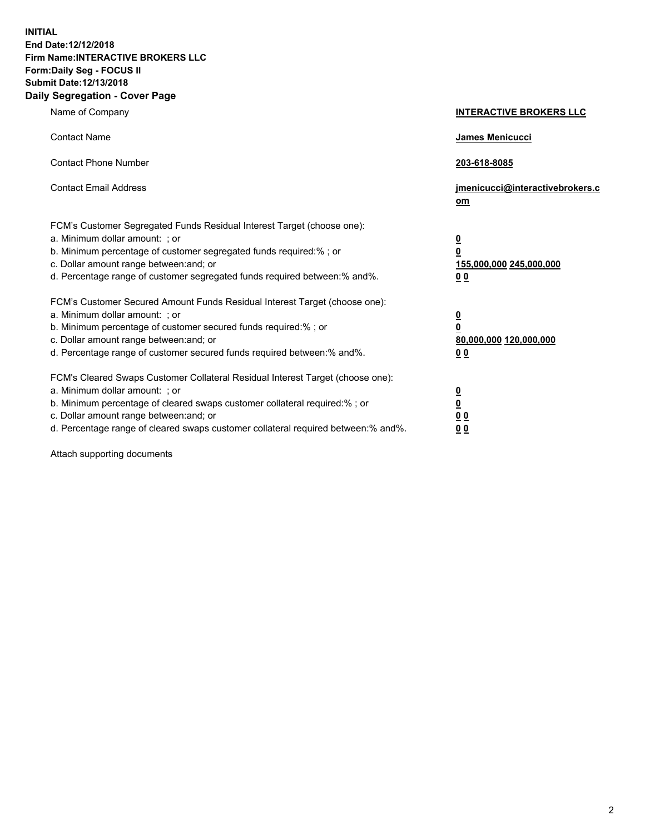**INITIAL End Date:12/12/2018 Firm Name:INTERACTIVE BROKERS LLC Form:Daily Seg - FOCUS II Submit Date:12/13/2018 Daily Segregation - Cover Page**

| Name of Company                                                                                                                                                                                                                                                                                                                | <b>INTERACTIVE BROKERS LLC</b>                                                                  |
|--------------------------------------------------------------------------------------------------------------------------------------------------------------------------------------------------------------------------------------------------------------------------------------------------------------------------------|-------------------------------------------------------------------------------------------------|
| <b>Contact Name</b>                                                                                                                                                                                                                                                                                                            | James Menicucci                                                                                 |
| <b>Contact Phone Number</b>                                                                                                                                                                                                                                                                                                    | 203-618-8085                                                                                    |
| <b>Contact Email Address</b>                                                                                                                                                                                                                                                                                                   | jmenicucci@interactivebrokers.c<br>om                                                           |
| FCM's Customer Segregated Funds Residual Interest Target (choose one):<br>a. Minimum dollar amount: ; or<br>b. Minimum percentage of customer segregated funds required:%; or<br>c. Dollar amount range between: and; or<br>d. Percentage range of customer segregated funds required between:% and%.                          | $\overline{\mathbf{0}}$<br>$\overline{\mathbf{0}}$<br>155,000,000 245,000,000<br>0 <sub>0</sub> |
| FCM's Customer Secured Amount Funds Residual Interest Target (choose one):<br>a. Minimum dollar amount: ; or<br>b. Minimum percentage of customer secured funds required:% ; or<br>c. Dollar amount range between: and; or<br>d. Percentage range of customer secured funds required between:% and%.                           | $\overline{\mathbf{0}}$<br>$\overline{\mathbf{0}}$<br>80,000,000 120,000,000<br>0 <sub>0</sub>  |
| FCM's Cleared Swaps Customer Collateral Residual Interest Target (choose one):<br>a. Minimum dollar amount: ; or<br>b. Minimum percentage of cleared swaps customer collateral required:% ; or<br>c. Dollar amount range between: and; or<br>d. Percentage range of cleared swaps customer collateral required between:% and%. | $\overline{\mathbf{0}}$<br>$\underline{\mathbf{0}}$<br>0 <sub>0</sub><br>0 <sub>0</sub>         |

Attach supporting documents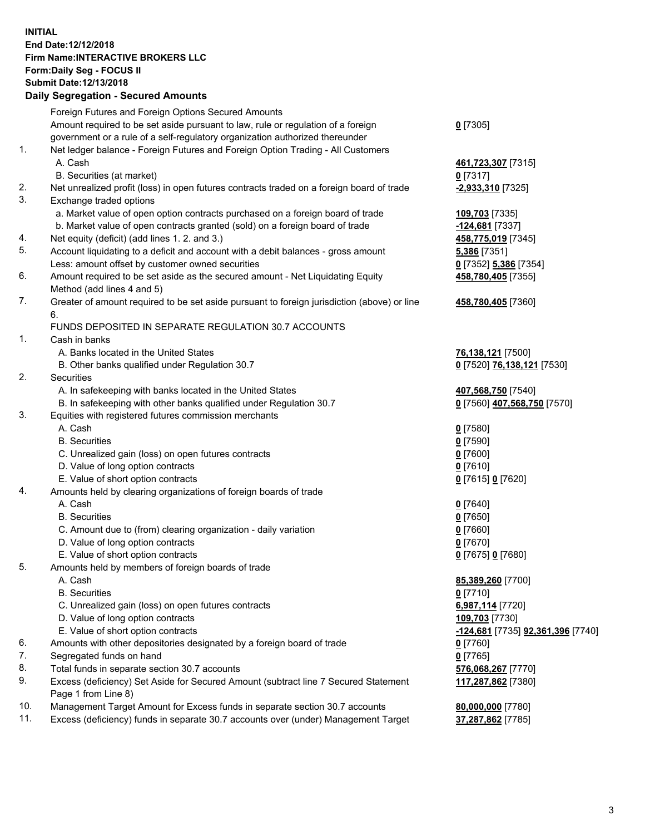## **INITIAL End Date:12/12/2018 Firm Name:INTERACTIVE BROKERS LLC Form:Daily Seg - FOCUS II Submit Date:12/13/2018 Daily Segregation - Secured Amounts**

| Foreign Futures and Foreign Options Secured Amounts                                       |                                                                                                                                                                                                                                                                                                                                                                                                                                                                                                                                                                                                                                                                                                                                                                                                                                                                                                                                                                                                                                                                                                                                                                                                                                                                                                                                                                                                                                                                                                  |
|-------------------------------------------------------------------------------------------|--------------------------------------------------------------------------------------------------------------------------------------------------------------------------------------------------------------------------------------------------------------------------------------------------------------------------------------------------------------------------------------------------------------------------------------------------------------------------------------------------------------------------------------------------------------------------------------------------------------------------------------------------------------------------------------------------------------------------------------------------------------------------------------------------------------------------------------------------------------------------------------------------------------------------------------------------------------------------------------------------------------------------------------------------------------------------------------------------------------------------------------------------------------------------------------------------------------------------------------------------------------------------------------------------------------------------------------------------------------------------------------------------------------------------------------------------------------------------------------------------|
|                                                                                           |                                                                                                                                                                                                                                                                                                                                                                                                                                                                                                                                                                                                                                                                                                                                                                                                                                                                                                                                                                                                                                                                                                                                                                                                                                                                                                                                                                                                                                                                                                  |
| Amount required to be set aside pursuant to law, rule or regulation of a foreign          | $0$ [7305]                                                                                                                                                                                                                                                                                                                                                                                                                                                                                                                                                                                                                                                                                                                                                                                                                                                                                                                                                                                                                                                                                                                                                                                                                                                                                                                                                                                                                                                                                       |
| government or a rule of a self-regulatory organization authorized thereunder              |                                                                                                                                                                                                                                                                                                                                                                                                                                                                                                                                                                                                                                                                                                                                                                                                                                                                                                                                                                                                                                                                                                                                                                                                                                                                                                                                                                                                                                                                                                  |
| Net ledger balance - Foreign Futures and Foreign Option Trading - All Customers           |                                                                                                                                                                                                                                                                                                                                                                                                                                                                                                                                                                                                                                                                                                                                                                                                                                                                                                                                                                                                                                                                                                                                                                                                                                                                                                                                                                                                                                                                                                  |
| A. Cash                                                                                   | 461,723,307 [7315]                                                                                                                                                                                                                                                                                                                                                                                                                                                                                                                                                                                                                                                                                                                                                                                                                                                                                                                                                                                                                                                                                                                                                                                                                                                                                                                                                                                                                                                                               |
| B. Securities (at market)                                                                 | $0$ [7317]                                                                                                                                                                                                                                                                                                                                                                                                                                                                                                                                                                                                                                                                                                                                                                                                                                                                                                                                                                                                                                                                                                                                                                                                                                                                                                                                                                                                                                                                                       |
| Net unrealized profit (loss) in open futures contracts traded on a foreign board of trade | -2,933,310 [7325]                                                                                                                                                                                                                                                                                                                                                                                                                                                                                                                                                                                                                                                                                                                                                                                                                                                                                                                                                                                                                                                                                                                                                                                                                                                                                                                                                                                                                                                                                |
| Exchange traded options                                                                   |                                                                                                                                                                                                                                                                                                                                                                                                                                                                                                                                                                                                                                                                                                                                                                                                                                                                                                                                                                                                                                                                                                                                                                                                                                                                                                                                                                                                                                                                                                  |
| a. Market value of open option contracts purchased on a foreign board of trade            | 109,703 [7335]                                                                                                                                                                                                                                                                                                                                                                                                                                                                                                                                                                                                                                                                                                                                                                                                                                                                                                                                                                                                                                                                                                                                                                                                                                                                                                                                                                                                                                                                                   |
| b. Market value of open contracts granted (sold) on a foreign board of trade              | -124,681 [7337]                                                                                                                                                                                                                                                                                                                                                                                                                                                                                                                                                                                                                                                                                                                                                                                                                                                                                                                                                                                                                                                                                                                                                                                                                                                                                                                                                                                                                                                                                  |
| Net equity (deficit) (add lines 1. 2. and 3.)                                             | 458,775,019 [7345]                                                                                                                                                                                                                                                                                                                                                                                                                                                                                                                                                                                                                                                                                                                                                                                                                                                                                                                                                                                                                                                                                                                                                                                                                                                                                                                                                                                                                                                                               |
| Account liquidating to a deficit and account with a debit balances - gross amount         | 5,386 [7351]                                                                                                                                                                                                                                                                                                                                                                                                                                                                                                                                                                                                                                                                                                                                                                                                                                                                                                                                                                                                                                                                                                                                                                                                                                                                                                                                                                                                                                                                                     |
| Less: amount offset by customer owned securities                                          | 0 [7352] 5,386 [7354]                                                                                                                                                                                                                                                                                                                                                                                                                                                                                                                                                                                                                                                                                                                                                                                                                                                                                                                                                                                                                                                                                                                                                                                                                                                                                                                                                                                                                                                                            |
| Amount required to be set aside as the secured amount - Net Liquidating Equity            | 458,780,405 [7355]                                                                                                                                                                                                                                                                                                                                                                                                                                                                                                                                                                                                                                                                                                                                                                                                                                                                                                                                                                                                                                                                                                                                                                                                                                                                                                                                                                                                                                                                               |
| Method (add lines 4 and 5)                                                                |                                                                                                                                                                                                                                                                                                                                                                                                                                                                                                                                                                                                                                                                                                                                                                                                                                                                                                                                                                                                                                                                                                                                                                                                                                                                                                                                                                                                                                                                                                  |
|                                                                                           | 458,780,405 [7360]                                                                                                                                                                                                                                                                                                                                                                                                                                                                                                                                                                                                                                                                                                                                                                                                                                                                                                                                                                                                                                                                                                                                                                                                                                                                                                                                                                                                                                                                               |
| 6.                                                                                        |                                                                                                                                                                                                                                                                                                                                                                                                                                                                                                                                                                                                                                                                                                                                                                                                                                                                                                                                                                                                                                                                                                                                                                                                                                                                                                                                                                                                                                                                                                  |
| FUNDS DEPOSITED IN SEPARATE REGULATION 30.7 ACCOUNTS                                      |                                                                                                                                                                                                                                                                                                                                                                                                                                                                                                                                                                                                                                                                                                                                                                                                                                                                                                                                                                                                                                                                                                                                                                                                                                                                                                                                                                                                                                                                                                  |
| Cash in banks                                                                             |                                                                                                                                                                                                                                                                                                                                                                                                                                                                                                                                                                                                                                                                                                                                                                                                                                                                                                                                                                                                                                                                                                                                                                                                                                                                                                                                                                                                                                                                                                  |
|                                                                                           | 76,138,121 [7500]                                                                                                                                                                                                                                                                                                                                                                                                                                                                                                                                                                                                                                                                                                                                                                                                                                                                                                                                                                                                                                                                                                                                                                                                                                                                                                                                                                                                                                                                                |
|                                                                                           | 0 [7520] 76,138,121 [7530]                                                                                                                                                                                                                                                                                                                                                                                                                                                                                                                                                                                                                                                                                                                                                                                                                                                                                                                                                                                                                                                                                                                                                                                                                                                                                                                                                                                                                                                                       |
|                                                                                           |                                                                                                                                                                                                                                                                                                                                                                                                                                                                                                                                                                                                                                                                                                                                                                                                                                                                                                                                                                                                                                                                                                                                                                                                                                                                                                                                                                                                                                                                                                  |
|                                                                                           | 407,568,750 [7540]                                                                                                                                                                                                                                                                                                                                                                                                                                                                                                                                                                                                                                                                                                                                                                                                                                                                                                                                                                                                                                                                                                                                                                                                                                                                                                                                                                                                                                                                               |
|                                                                                           | 0 [7560] 407,568,750 [7570]                                                                                                                                                                                                                                                                                                                                                                                                                                                                                                                                                                                                                                                                                                                                                                                                                                                                                                                                                                                                                                                                                                                                                                                                                                                                                                                                                                                                                                                                      |
|                                                                                           |                                                                                                                                                                                                                                                                                                                                                                                                                                                                                                                                                                                                                                                                                                                                                                                                                                                                                                                                                                                                                                                                                                                                                                                                                                                                                                                                                                                                                                                                                                  |
|                                                                                           | $0$ [7580]                                                                                                                                                                                                                                                                                                                                                                                                                                                                                                                                                                                                                                                                                                                                                                                                                                                                                                                                                                                                                                                                                                                                                                                                                                                                                                                                                                                                                                                                                       |
|                                                                                           | $0$ [7590]                                                                                                                                                                                                                                                                                                                                                                                                                                                                                                                                                                                                                                                                                                                                                                                                                                                                                                                                                                                                                                                                                                                                                                                                                                                                                                                                                                                                                                                                                       |
|                                                                                           | $0$ [7600]                                                                                                                                                                                                                                                                                                                                                                                                                                                                                                                                                                                                                                                                                                                                                                                                                                                                                                                                                                                                                                                                                                                                                                                                                                                                                                                                                                                                                                                                                       |
|                                                                                           | $0$ [7610]                                                                                                                                                                                                                                                                                                                                                                                                                                                                                                                                                                                                                                                                                                                                                                                                                                                                                                                                                                                                                                                                                                                                                                                                                                                                                                                                                                                                                                                                                       |
|                                                                                           | 0 [7615] 0 [7620]                                                                                                                                                                                                                                                                                                                                                                                                                                                                                                                                                                                                                                                                                                                                                                                                                                                                                                                                                                                                                                                                                                                                                                                                                                                                                                                                                                                                                                                                                |
|                                                                                           |                                                                                                                                                                                                                                                                                                                                                                                                                                                                                                                                                                                                                                                                                                                                                                                                                                                                                                                                                                                                                                                                                                                                                                                                                                                                                                                                                                                                                                                                                                  |
|                                                                                           | $0$ [7640]                                                                                                                                                                                                                                                                                                                                                                                                                                                                                                                                                                                                                                                                                                                                                                                                                                                                                                                                                                                                                                                                                                                                                                                                                                                                                                                                                                                                                                                                                       |
|                                                                                           | $0$ [7650]                                                                                                                                                                                                                                                                                                                                                                                                                                                                                                                                                                                                                                                                                                                                                                                                                                                                                                                                                                                                                                                                                                                                                                                                                                                                                                                                                                                                                                                                                       |
|                                                                                           | $0$ [7660]                                                                                                                                                                                                                                                                                                                                                                                                                                                                                                                                                                                                                                                                                                                                                                                                                                                                                                                                                                                                                                                                                                                                                                                                                                                                                                                                                                                                                                                                                       |
|                                                                                           | $0$ [7670]                                                                                                                                                                                                                                                                                                                                                                                                                                                                                                                                                                                                                                                                                                                                                                                                                                                                                                                                                                                                                                                                                                                                                                                                                                                                                                                                                                                                                                                                                       |
|                                                                                           | 0 [7675] 0 [7680]                                                                                                                                                                                                                                                                                                                                                                                                                                                                                                                                                                                                                                                                                                                                                                                                                                                                                                                                                                                                                                                                                                                                                                                                                                                                                                                                                                                                                                                                                |
|                                                                                           |                                                                                                                                                                                                                                                                                                                                                                                                                                                                                                                                                                                                                                                                                                                                                                                                                                                                                                                                                                                                                                                                                                                                                                                                                                                                                                                                                                                                                                                                                                  |
|                                                                                           | 85,389,260 [7700]                                                                                                                                                                                                                                                                                                                                                                                                                                                                                                                                                                                                                                                                                                                                                                                                                                                                                                                                                                                                                                                                                                                                                                                                                                                                                                                                                                                                                                                                                |
|                                                                                           | $0$ [7710]                                                                                                                                                                                                                                                                                                                                                                                                                                                                                                                                                                                                                                                                                                                                                                                                                                                                                                                                                                                                                                                                                                                                                                                                                                                                                                                                                                                                                                                                                       |
|                                                                                           | 6,987,114 [7720]                                                                                                                                                                                                                                                                                                                                                                                                                                                                                                                                                                                                                                                                                                                                                                                                                                                                                                                                                                                                                                                                                                                                                                                                                                                                                                                                                                                                                                                                                 |
|                                                                                           | 109,703 [7730]                                                                                                                                                                                                                                                                                                                                                                                                                                                                                                                                                                                                                                                                                                                                                                                                                                                                                                                                                                                                                                                                                                                                                                                                                                                                                                                                                                                                                                                                                   |
|                                                                                           | <u>-124,681</u> [7735] <u>92,361,396</u> [7740]                                                                                                                                                                                                                                                                                                                                                                                                                                                                                                                                                                                                                                                                                                                                                                                                                                                                                                                                                                                                                                                                                                                                                                                                                                                                                                                                                                                                                                                  |
|                                                                                           | $0$ [7760]                                                                                                                                                                                                                                                                                                                                                                                                                                                                                                                                                                                                                                                                                                                                                                                                                                                                                                                                                                                                                                                                                                                                                                                                                                                                                                                                                                                                                                                                                       |
|                                                                                           | $0$ [7765]                                                                                                                                                                                                                                                                                                                                                                                                                                                                                                                                                                                                                                                                                                                                                                                                                                                                                                                                                                                                                                                                                                                                                                                                                                                                                                                                                                                                                                                                                       |
|                                                                                           | 576,068,267 [7770]                                                                                                                                                                                                                                                                                                                                                                                                                                                                                                                                                                                                                                                                                                                                                                                                                                                                                                                                                                                                                                                                                                                                                                                                                                                                                                                                                                                                                                                                               |
|                                                                                           | 117,287,862 [7380]                                                                                                                                                                                                                                                                                                                                                                                                                                                                                                                                                                                                                                                                                                                                                                                                                                                                                                                                                                                                                                                                                                                                                                                                                                                                                                                                                                                                                                                                               |
|                                                                                           |                                                                                                                                                                                                                                                                                                                                                                                                                                                                                                                                                                                                                                                                                                                                                                                                                                                                                                                                                                                                                                                                                                                                                                                                                                                                                                                                                                                                                                                                                                  |
|                                                                                           | 80,000,000 [7780]                                                                                                                                                                                                                                                                                                                                                                                                                                                                                                                                                                                                                                                                                                                                                                                                                                                                                                                                                                                                                                                                                                                                                                                                                                                                                                                                                                                                                                                                                |
|                                                                                           | 37,287,862 [7785]                                                                                                                                                                                                                                                                                                                                                                                                                                                                                                                                                                                                                                                                                                                                                                                                                                                                                                                                                                                                                                                                                                                                                                                                                                                                                                                                                                                                                                                                                |
|                                                                                           | Greater of amount required to be set aside pursuant to foreign jurisdiction (above) or line<br>A. Banks located in the United States<br>B. Other banks qualified under Regulation 30.7<br>Securities<br>A. In safekeeping with banks located in the United States<br>B. In safekeeping with other banks qualified under Regulation 30.7<br>Equities with registered futures commission merchants<br>A. Cash<br><b>B.</b> Securities<br>C. Unrealized gain (loss) on open futures contracts<br>D. Value of long option contracts<br>E. Value of short option contracts<br>Amounts held by clearing organizations of foreign boards of trade<br>A. Cash<br><b>B.</b> Securities<br>C. Amount due to (from) clearing organization - daily variation<br>D. Value of long option contracts<br>E. Value of short option contracts<br>Amounts held by members of foreign boards of trade<br>A. Cash<br><b>B.</b> Securities<br>C. Unrealized gain (loss) on open futures contracts<br>D. Value of long option contracts<br>E. Value of short option contracts<br>Amounts with other depositories designated by a foreign board of trade<br>Segregated funds on hand<br>Total funds in separate section 30.7 accounts<br>Excess (deficiency) Set Aside for Secured Amount (subtract line 7 Secured Statement<br>Page 1 from Line 8)<br>Management Target Amount for Excess funds in separate section 30.7 accounts<br>Excess (deficiency) funds in separate 30.7 accounts over (under) Management Target |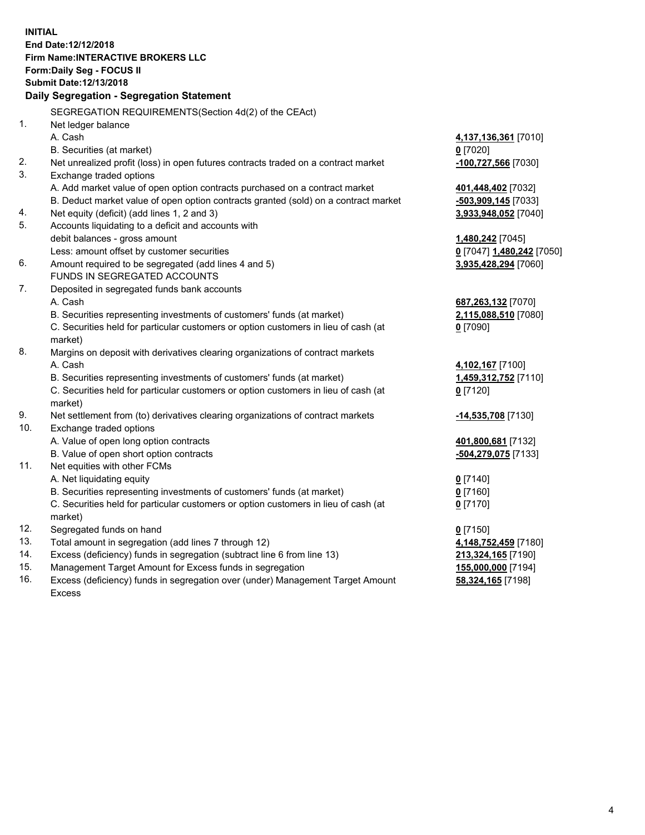**INITIAL End Date:12/12/2018 Firm Name:INTERACTIVE BROKERS LLC Form:Daily Seg - FOCUS II Submit Date:12/13/2018 Daily Segregation - Segregation Statement** SEGREGATION REQUIREMENTS(Section 4d(2) of the CEAct) 1. Net ledger balance A. Cash **4,137,136,361** [7010] B. Securities (at market) **0** [7020] 2. Net unrealized profit (loss) in open futures contracts traded on a contract market **-100,727,566** [7030] 3. Exchange traded options A. Add market value of open option contracts purchased on a contract market **401,448,402** [7032] B. Deduct market value of open option contracts granted (sold) on a contract market **-503,909,145** [7033] 4. Net equity (deficit) (add lines 1, 2 and 3) **3,933,948,052** [7040] 5. Accounts liquidating to a deficit and accounts with debit balances - gross amount **1,480,242** [7045] Less: amount offset by customer securities **0** [7047] **1,480,242** [7050] 6. Amount required to be segregated (add lines 4 and 5) **3,935,428,294** [7060] FUNDS IN SEGREGATED ACCOUNTS 7. Deposited in segregated funds bank accounts A. Cash **687,263,132** [7070] B. Securities representing investments of customers' funds (at market) **2,115,088,510** [7080] C. Securities held for particular customers or option customers in lieu of cash (at market) **0** [7090] 8. Margins on deposit with derivatives clearing organizations of contract markets A. Cash **4,102,167** [7100] B. Securities representing investments of customers' funds (at market) **1,459,312,752** [7110] C. Securities held for particular customers or option customers in lieu of cash (at market) **0** [7120] 9. Net settlement from (to) derivatives clearing organizations of contract markets **-14,535,708** [7130] 10. Exchange traded options A. Value of open long option contracts **401,800,681** [7132] B. Value of open short option contracts **-504,279,075** [7133] 11. Net equities with other FCMs A. Net liquidating equity **0** [7140] B. Securities representing investments of customers' funds (at market) **0** [7160] C. Securities held for particular customers or option customers in lieu of cash (at market) **0** [7170] 12. Segregated funds on hand **0** [7150] 13. Total amount in segregation (add lines 7 through 12) **4,148,752,459** [7180] 14. Excess (deficiency) funds in segregation (subtract line 6 from line 13) **213,324,165** [7190] 15. Management Target Amount for Excess funds in segregation **155,000,000** [7194] **58,324,165** [7198]

16. Excess (deficiency) funds in segregation over (under) Management Target Amount Excess